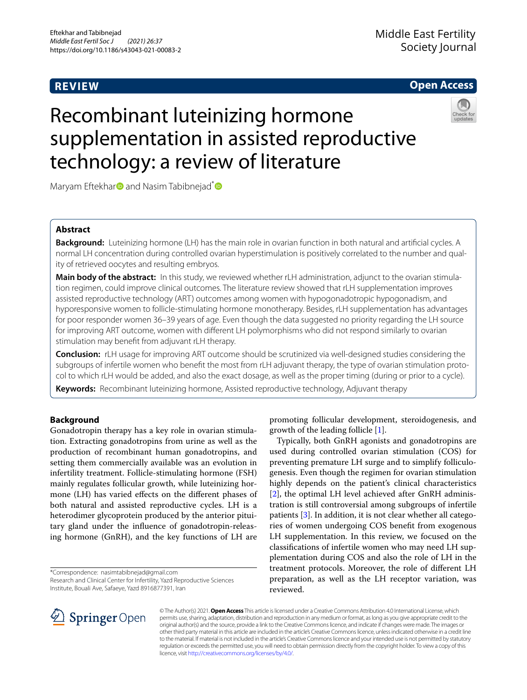# **REVIEW**

## **Open Access**

# Recombinant luteinizing hormone supplementation in assisted reproductive technology: a review of literature



Ma[r](https://orcid.org/0000-0003-3835-5635)yam Eftekhar and Nasim Tabibnejad<sup>[\\*](http://orcid.org/0000-0002-1164-3744)</sup>

## **Abstract**

**Background:** Luteinizing hormone (LH) has the main role in ovarian function in both natural and artifcial cycles. A normal LH concentration during controlled ovarian hyperstimulation is positively correlated to the number and quality of retrieved oocytes and resulting embryos.

**Main body of the abstract:** In this study, we reviewed whether rLH administration, adjunct to the ovarian stimulation regimen, could improve clinical outcomes. The literature review showed that rLH supplementation improves assisted reproductive technology (ART) outcomes among women with hypogonadotropic hypogonadism, and hyporesponsive women to follicle-stimulating hormone monotherapy. Besides, rLH supplementation has advantages for poor responder women 36–39 years of age. Even though the data suggested no priority regarding the LH source for improving ART outcome, women with diferent LH polymorphisms who did not respond similarly to ovarian stimulation may beneft from adjuvant rLH therapy.

**Conclusion:** rLH usage for improving ART outcome should be scrutinized via well-designed studies considering the subgroups of infertile women who beneft the most from rLH adjuvant therapy, the type of ovarian stimulation protocol to which rLH would be added, and also the exact dosage, as well as the proper timing (during or prior to a cycle).

**Keywords:** Recombinant luteinizing hormone, Assisted reproductive technology, Adjuvant therapy

## **Background**

Gonadotropin therapy has a key role in ovarian stimulation. Extracting gonadotropins from urine as well as the production of recombinant human gonadotropins, and setting them commercially available was an evolution in infertility treatment. Follicle-stimulating hormone (FSH) mainly regulates follicular growth, while luteinizing hormone (LH) has varied efects on the diferent phases of both natural and assisted reproductive cycles. LH is a heterodimer glycoprotein produced by the anterior pituitary gland under the infuence of gonadotropin-releasing hormone (GnRH), and the key functions of LH are

\*Correspondence: nasimtabibnejad@gmail.com Research and Clinical Center for Infertility, Yazd Reproductive Sciences

Institute, Bouali Ave, Safaeye, Yazd 8916877391, Iran

promoting follicular development, steroidogenesis, and growth of the leading follicle [[1\]](#page-6-0).

Typically, both GnRH agonists and gonadotropins are used during controlled ovarian stimulation (COS) for preventing premature LH surge and to simplify folliculogenesis. Even though the regimen for ovarian stimulation highly depends on the patient's clinical characteristics [[2\]](#page-6-1), the optimal LH level achieved after GnRH administration is still controversial among subgroups of infertile patients [[3\]](#page-6-2). In addition, it is not clear whether all categories of women undergoing COS beneft from exogenous LH supplementation. In this review, we focused on the classifcations of infertile women who may need LH supplementation during COS and also the role of LH in the treatment protocols. Moreover, the role of diferent LH preparation, as well as the LH receptor variation, was reviewed.



© The Author(s) 2021. **Open Access** This article is licensed under a Creative Commons Attribution 4.0 International License, which permits use, sharing, adaptation, distribution and reproduction in any medium or format, as long as you give appropriate credit to the original author(s) and the source, provide a link to the Creative Commons licence, and indicate if changes were made. The images or other third party material in this article are included in the article's Creative Commons licence, unless indicated otherwise in a credit line to the material. If material is not included in the article's Creative Commons licence and your intended use is not permitted by statutory regulation or exceeds the permitted use, you will need to obtain permission directly from the copyright holder. To view a copy of this licence, visit [http://creativecommons.org/licenses/by/4.0/.](http://creativecommons.org/licenses/by/4.0/)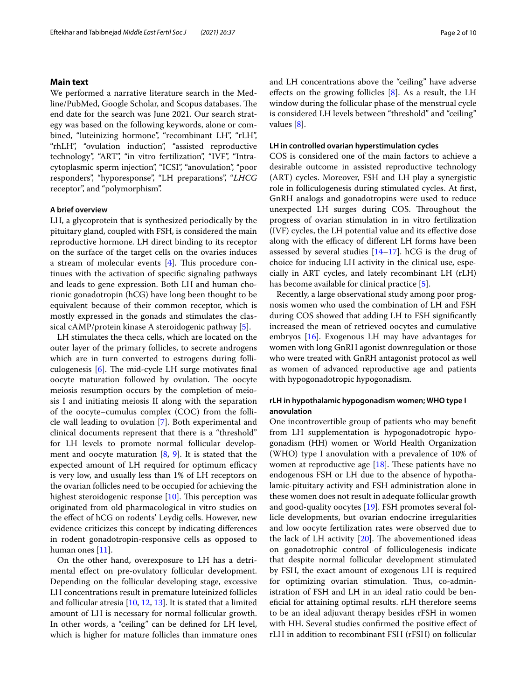#### **Main text**

We performed a narrative literature search in the Medline/PubMed, Google Scholar, and Scopus databases. The end date for the search was June 2021. Our search strategy was based on the following keywords, alone or combined, "luteinizing hormone", "recombinant LH", "rLH", "rhLH", "ovulation induction", "assisted reproductive technology", "ART", "in vitro fertilization", "IVF", "Intracytoplasmic sperm injection", "ICSI", "anovulation", "poor responders", "hyporesponse", "LH preparations", "*LHCG* receptor", and "polymorphism".

#### **A brief overview**

LH, a glycoprotein that is synthesized periodically by the pituitary gland, coupled with FSH, is considered the main reproductive hormone. LH direct binding to its receptor on the surface of the target cells on the ovaries induces a stream of molecular events  $[4]$  $[4]$ . This procedure continues with the activation of specifc signaling pathways and leads to gene expression. Both LH and human chorionic gonadotropin (hCG) have long been thought to be equivalent because of their common receptor, which is mostly expressed in the gonads and stimulates the classical cAMP/protein kinase A steroidogenic pathway [\[5](#page-6-4)].

LH stimulates the theca cells, which are located on the outer layer of the primary follicles, to secrete androgens which are in turn converted to estrogens during folliculogenesis  $[6]$  $[6]$ . The mid-cycle LH surge motivates final oocyte maturation followed by ovulation. The oocyte meiosis resumption occurs by the completion of meiosis I and initiating meiosis II along with the separation of the oocyte–cumulus complex (COC) from the follicle wall leading to ovulation [\[7](#page-6-6)]. Both experimental and clinical documents represent that there is a "threshold" for LH levels to promote normal follicular development and oocyte maturation [\[8](#page-6-7), [9](#page-6-8)]. It is stated that the expected amount of LH required for optimum efficacy is very low, and usually less than 1% of LH receptors on the ovarian follicles need to be occupied for achieving the highest steroidogenic response  $[10]$  $[10]$  $[10]$ . This perception was originated from old pharmacological in vitro studies on the efect of hCG on rodents' Leydig cells. However, new evidence criticizes this concept by indicating diferences in rodent gonadotropin-responsive cells as opposed to human ones [\[11](#page-6-10)].

On the other hand, overexposure to LH has a detrimental efect on pre-ovulatory follicular development. Depending on the follicular developing stage, excessive LH concentrations result in premature luteinized follicles and follicular atresia [\[10](#page-6-9), [12,](#page-7-0) [13\]](#page-7-1). It is stated that a limited amount of LH is necessary for normal follicular growth. In other words, a "ceiling" can be defned for LH level, which is higher for mature follicles than immature ones and LH concentrations above the "ceiling" have adverse effects on the growing follicles  $[8]$  $[8]$ . As a result, the LH window during the follicular phase of the menstrual cycle is considered LH levels between "threshold" and "ceiling" values [[8](#page-6-7)].

#### **LH in controlled ovarian hyperstimulation cycles**

COS is considered one of the main factors to achieve a desirable outcome in assisted reproductive technology (ART) cycles. Moreover, FSH and LH play a synergistic role in folliculogenesis during stimulated cycles. At frst, GnRH analogs and gonadotropins were used to reduce unexpected LH surges during COS. Throughout the progress of ovarian stimulation in in vitro fertilization (IVF) cycles, the LH potential value and its efective dose along with the efficacy of different LH forms have been assessed by several studies  $[14–17]$  $[14–17]$  $[14–17]$ . hCG is the drug of choice for inducing LH activity in the clinical use, especially in ART cycles, and lately recombinant LH (rLH) has become available for clinical practice [\[5](#page-6-4)].

Recently, a large observational study among poor prognosis women who used the combination of LH and FSH during COS showed that adding LH to FSH signifcantly increased the mean of retrieved oocytes and cumulative embryos [[16](#page-7-4)]. Exogenous LH may have advantages for women with long GnRH agonist downregulation or those who were treated with GnRH antagonist protocol as well as women of advanced reproductive age and patients with hypogonadotropic hypogonadism.

## **rLH in hypothalamic hypogonadism women; WHO type I anovulation**

One incontrovertible group of patients who may beneft from LH supplementation is hypogonadotropic hypogonadism (HH) women or World Health Organization (WHO) type I anovulation with a prevalence of 10% of women at reproductive age  $[18]$  $[18]$ . These patients have no endogenous FSH or LH due to the absence of hypothalamic-pituitary activity and FSH administration alone in these women does not result in adequate follicular growth and good-quality oocytes [\[19\]](#page-7-6). FSH promotes several follicle developments, but ovarian endocrine irregularities and low oocyte fertilization rates were observed due to the lack of LH activity  $[20]$  $[20]$ . The abovementioned ideas on gonadotrophic control of folliculogenesis indicate that despite normal follicular development stimulated by FSH, the exact amount of exogenous LH is required for optimizing ovarian stimulation. Thus, co-administration of FSH and LH in an ideal ratio could be benefcial for attaining optimal results. rLH therefore seems to be an ideal adjuvant therapy besides rFSH in women with HH. Several studies confrmed the positive efect of rLH in addition to recombinant FSH (rFSH) on follicular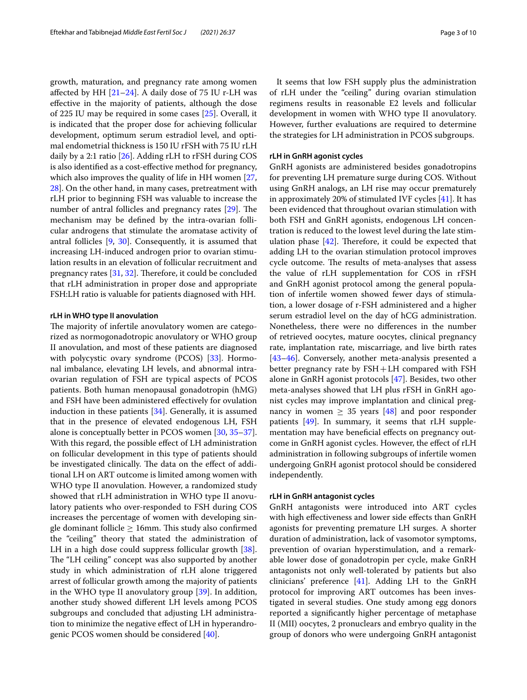growth, maturation, and pregnancy rate among women affected by HH  $[21–24]$  $[21–24]$ . A daily dose of 75 IU r-LH was efective in the majority of patients, although the dose of 225 IU may be required in some cases [\[25](#page-7-10)]. Overall, it is indicated that the proper dose for achieving follicular development, optimum serum estradiol level, and optimal endometrial thickness is 150 IU rFSH with 75 IU rLH daily by a 2:1 ratio [[26\]](#page-7-11). Adding rLH to rFSH during COS is also identifed as a cost-efective method for pregnancy, which also improves the quality of life in HH women [\[27](#page-7-12), [28\]](#page-7-13). On the other hand, in many cases, pretreatment with rLH prior to beginning FSH was valuable to increase the number of antral follicles and pregnancy rates  $[29]$  $[29]$  $[29]$ . The mechanism may be defned by the intra-ovarian follicular androgens that stimulate the aromatase activity of antral follicles [[9](#page-6-8), [30](#page-7-15)]. Consequently, it is assumed that increasing LH-induced androgen prior to ovarian stimulation results in an elevation of follicular recruitment and pregnancy rates  $[31, 32]$  $[31, 32]$  $[31, 32]$  $[31, 32]$ . Therefore, it could be concluded that rLH administration in proper dose and appropriate FSH:LH ratio is valuable for patients diagnosed with HH.

#### **rLH in WHO type II anovulation**

The majority of infertile anovulatory women are categorized as normogonadotropic anovulatory or WHO group II anovulation, and most of these patients are diagnosed with polycystic ovary syndrome (PCOS) [\[33](#page-7-18)]. Hormonal imbalance, elevating LH levels, and abnormal intraovarian regulation of FSH are typical aspects of PCOS patients. Both human menopausal gonadotropin (hMG) and FSH have been administered efectively for ovulation induction in these patients [[34\]](#page-7-19). Generally, it is assumed that in the presence of elevated endogenous LH, FSH alone is conceptually better in PCOS women [\[30,](#page-7-15) [35](#page-7-20)[–37](#page-7-21)]. With this regard, the possible efect of LH administration on follicular development in this type of patients should be investigated clinically. The data on the effect of additional LH on ART outcome is limited among women with WHO type II anovulation. However, a randomized study showed that rLH administration in WHO type II anovulatory patients who over-responded to FSH during COS increases the percentage of women with developing single dominant follicle  $\geq 16$ mm. This study also confirmed the "ceiling" theory that stated the administration of LH in a high dose could suppress follicular growth [\[38](#page-7-22)]. The "LH ceiling" concept was also supported by another study in which administration of rLH alone triggered arrest of follicular growth among the majority of patients in the WHO type II anovulatory group [\[39](#page-7-23)]. In addition, another study showed diferent LH levels among PCOS subgroups and concluded that adjusting LH administration to minimize the negative efect of LH in hyperandrogenic PCOS women should be considered [[40\]](#page-7-24).

It seems that low FSH supply plus the administration of rLH under the "ceiling" during ovarian stimulation regimens results in reasonable E2 levels and follicular development in women with WHO type II anovulatory. However, further evaluations are required to determine the strategies for LH administration in PCOS subgroups.

#### **rLH in GnRH agonist cycles**

GnRH agonists are administered besides gonadotropins for preventing LH premature surge during COS. Without using GnRH analogs, an LH rise may occur prematurely in approximately 20% of stimulated IVF cycles [[41](#page-7-25)]. It has been evidenced that throughout ovarian stimulation with both FSH and GnRH agonists, endogenous LH concentration is reduced to the lowest level during the late stimulation phase  $[42]$  $[42]$ . Therefore, it could be expected that adding LH to the ovarian stimulation protocol improves cycle outcome. The results of meta-analyses that assess the value of rLH supplementation for COS in rFSH and GnRH agonist protocol among the general population of infertile women showed fewer days of stimulation, a lower dosage of r-FSH administered and a higher serum estradiol level on the day of hCG administration. Nonetheless, there were no diferences in the number of retrieved oocytes, mature oocytes, clinical pregnancy rate, implantation rate, miscarriage, and live birth rates [[43–](#page-7-27)[46\]](#page-8-0). Conversely, another meta-analysis presented a better pregnancy rate by FSH+LH compared with FSH alone in GnRH agonist protocols [\[47](#page-8-1)]. Besides, two other meta-analyses showed that LH plus rFSH in GnRH agonist cycles may improve implantation and clinical pregnancy in women  $\geq$  35 years [[48\]](#page-8-2) and poor responder patients [\[49](#page-8-3)]. In summary, it seems that rLH supplementation may have beneficial effects on pregnancy outcome in GnRH agonist cycles. However, the efect of rLH administration in following subgroups of infertile women undergoing GnRH agonist protocol should be considered independently.

#### **rLH in GnRH antagonist cycles**

GnRH antagonists were introduced into ART cycles with high effectiveness and lower side effects than GnRH agonists for preventing premature LH surges. A shorter duration of administration, lack of vasomotor symptoms, prevention of ovarian hyperstimulation, and a remarkable lower dose of gonadotropin per cycle, make GnRH antagonists not only well-tolerated by patients but also clinicians' preference [\[41](#page-7-25)]. Adding LH to the GnRH protocol for improving ART outcomes has been investigated in several studies. One study among egg donors reported a signifcantly higher percentage of metaphase II (MII) oocytes, 2 pronuclears and embryo quality in the group of donors who were undergoing GnRH antagonist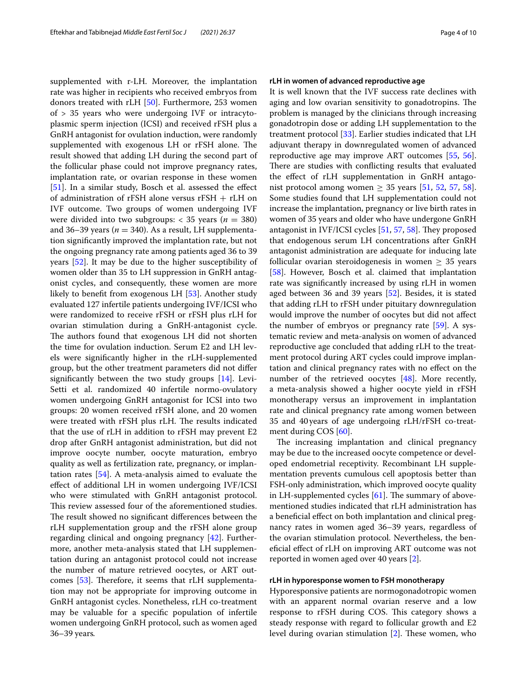supplemented with r-LH. Moreover, the implantation rate was higher in recipients who received embryos from donors treated with rLH [[50\]](#page-8-4). Furthermore, 253 women of > 35 years who were undergoing IVF or intracytoplasmic sperm injection (ICSI) and received rFSH plus a GnRH antagonist for ovulation induction, were randomly supplemented with exogenous LH or rFSH alone. The result showed that adding LH during the second part of the follicular phase could not improve pregnancy rates, implantation rate, or ovarian response in these women [[51\]](#page-8-5). In a similar study, Bosch et al. assessed the effect of administration of rFSH alone versus rFSH + rLH on IVF outcome. Two groups of women undergoing IVF were divided into two subgroups:  $<$  35 years ( $n = 380$ ) and 36–39 years ( $n = 340$ ). As a result, LH supplementation signifcantly improved the implantation rate, but not the ongoing pregnancy rate among patients aged 36 to 39 years [[52](#page-8-6)]. It may be due to the higher susceptibility of women older than 35 to LH suppression in GnRH antagonist cycles, and consequently, these women are more likely to beneft from exogenous LH [[53\]](#page-8-7). Another study evaluated 127 infertile patients undergoing IVF/ICSI who were randomized to receive rFSH or rFSH plus rLH for ovarian stimulation during a GnRH-antagonist cycle. The authors found that exogenous LH did not shorten the time for ovulation induction. Serum E2 and LH levels were signifcantly higher in the rLH-supplemented group, but the other treatment parameters did not difer signifcantly between the two study groups [[14](#page-7-2)]. Levi-Setti et al. randomized 40 infertile normo-ovulatory women undergoing GnRH antagonist for ICSI into two groups: 20 women received rFSH alone, and 20 women were treated with rFSH plus rLH. The results indicated that the use of rLH in addition to rFSH may prevent E2 drop after GnRH antagonist administration, but did not improve oocyte number, oocyte maturation, embryo quality as well as fertilization rate, pregnancy, or implantation rates [[54\]](#page-8-8). A meta-analysis aimed to evaluate the efect of additional LH in women undergoing IVF/ICSI who were stimulated with GnRH antagonist protocol. This review assessed four of the aforementioned studies. The result showed no significant differences between the rLH supplementation group and the rFSH alone group regarding clinical and ongoing pregnancy [\[42](#page-7-26)]. Furthermore, another meta-analysis stated that LH supplementation during an antagonist protocol could not increase the number of mature retrieved oocytes, or ART out-comes [[53\]](#page-8-7). Therefore, it seems that rLH supplementation may not be appropriate for improving outcome in GnRH antagonist cycles. Nonetheless, rLH co-treatment may be valuable for a specifc population of infertile women undergoing GnRH protocol, such as women aged 36–39 years*.*

#### **rLH in women of advanced reproductive age**

It is well known that the IVF success rate declines with aging and low ovarian sensitivity to gonadotropins. The problem is managed by the clinicians through increasing gonadotropin dose or adding LH supplementation to the treatment protocol [[33\]](#page-7-18). Earlier studies indicated that LH adjuvant therapy in downregulated women of advanced reproductive age may improve ART outcomes [\[55](#page-8-9), [56](#page-8-10)]. There are studies with conflicting results that evaluated the efect of rLH supplementation in GnRH antagonist protocol among women  $\geq$  35 years [\[51](#page-8-5), [52](#page-8-6), [57,](#page-8-11) [58](#page-8-12)]. Some studies found that LH supplementation could not increase the implantation, pregnancy or live birth rates in women of 35 years and older who have undergone GnRH antagonist in IVF/ICSI cycles  $[51, 57, 58]$  $[51, 57, 58]$  $[51, 57, 58]$  $[51, 57, 58]$  $[51, 57, 58]$  $[51, 57, 58]$ . They proposed that endogenous serum LH concentrations after GnRH antagonist administration are adequate for inducing late follicular ovarian steroidogenesis in women  $\geq$  35 years [[58\]](#page-8-12). However, Bosch et al. claimed that implantation rate was signifcantly increased by using rLH in women aged between 36 and 39 years [[52\]](#page-8-6). Besides, it is stated that adding rLH to rFSH under pituitary downregulation would improve the number of oocytes but did not afect the number of embryos or pregnancy rate [\[59](#page-8-13)]. A systematic review and meta-analysis on women of advanced reproductive age concluded that adding rLH to the treatment protocol during ART cycles could improve implantation and clinical pregnancy rates with no efect on the number of the retrieved oocytes [\[48\]](#page-8-2). More recently, a meta-analysis showed a higher oocyte yield in rFSH monotherapy versus an improvement in implantation rate and clinical pregnancy rate among women between 35 and 40years of age undergoing rLH/rFSH co-treatment during COS [[60\]](#page-8-14).

The increasing implantation and clinical pregnancy may be due to the increased oocyte competence or developed endometrial receptivity. Recombinant LH supplementation prevents cumulous cell apoptosis better than FSH-only administration, which improved oocyte quality in LH-supplemented cycles  $[61]$ . The summary of abovementioned studies indicated that rLH administration has a benefcial efect on both implantation and clinical pregnancy rates in women aged 36–39 years, regardless of the ovarian stimulation protocol. Nevertheless, the benefcial efect of rLH on improving ART outcome was not reported in women aged over 40 years [[2\]](#page-6-1).

#### **rLH in hyporesponse women to FSH monotherapy**

Hyporesponsive patients are normogonadotropic women with an apparent normal ovarian reserve and a low response to rFSH during COS. This category shows a steady response with regard to follicular growth and E2 level during ovarian stimulation  $[2]$  $[2]$ . These women, who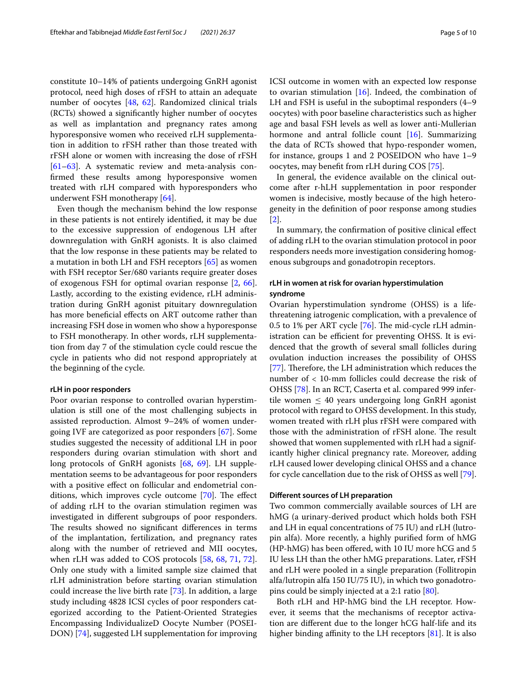constitute 10–14% of patients undergoing GnRH agonist protocol, need high doses of rFSH to attain an adequate number of oocytes [[48](#page-8-2), [62\]](#page-8-16). Randomized clinical trials (RCTs) showed a signifcantly higher number of oocytes as well as implantation and pregnancy rates among hyporesponsive women who received rLH supplementation in addition to rFSH rather than those treated with rFSH alone or women with increasing the dose of rFSH [[61–](#page-8-15)[63](#page-8-17)]. A systematic review and meta-analysis confrmed these results among hyporesponsive women treated with rLH compared with hyporesponders who underwent FSH monotherapy [\[64\]](#page-8-18).

Even though the mechanism behind the low response in these patients is not entirely identifed, it may be due to the excessive suppression of endogenous LH after downregulation with GnRH agonists. It is also claimed that the low response in these patients may be related to a mutation in both LH and FSH receptors [[65\]](#page-8-19) as women with FSH receptor Ser/680 variants require greater doses of exogenous FSH for optimal ovarian response [[2](#page-6-1), [66](#page-8-20)]. Lastly, according to the existing evidence, rLH administration during GnRH agonist pituitary downregulation has more beneficial effects on ART outcome rather than increasing FSH dose in women who show a hyporesponse to FSH monotherapy. In other words, rLH supplementation from day 7 of the stimulation cycle could rescue the cycle in patients who did not respond appropriately at the beginning of the cycle.

#### **rLH in poor responders**

Poor ovarian response to controlled ovarian hyperstimulation is still one of the most challenging subjects in assisted reproduction. Almost 9–24% of women undergoing IVF are categorized as poor responders [[67\]](#page-8-21). Some studies suggested the necessity of additional LH in poor responders during ovarian stimulation with short and long protocols of GnRH agonists [\[68](#page-8-22), [69\]](#page-8-23). LH supplementation seems to be advantageous for poor responders with a positive efect on follicular and endometrial conditions, which improves cycle outcome  $[70]$  $[70]$ . The effect of adding rLH to the ovarian stimulation regimen was investigated in diferent subgroups of poor responders. The results showed no significant differences in terms of the implantation, fertilization, and pregnancy rates along with the number of retrieved and MII oocytes, when rLH was added to COS protocols [\[58,](#page-8-12) [68](#page-8-22), [71,](#page-8-25) [72](#page-8-26)]. Only one study with a limited sample size claimed that rLH administration before starting ovarian stimulation could increase the live birth rate [\[73](#page-8-27)]. In addition, a large study including 4828 ICSI cycles of poor responders categorized according to the Patient-Oriented Strategies Encompassing IndividualizeD Oocyte Number (POSEI-DON) [\[74\]](#page-8-28), suggested LH supplementation for improving ICSI outcome in women with an expected low response to ovarian stimulation [[16\]](#page-7-4). Indeed, the combination of LH and FSH is useful in the suboptimal responders (4–9 oocytes) with poor baseline characteristics such as higher age and basal FSH levels as well as lower anti-Mullerian hormone and antral follicle count [[16\]](#page-7-4). Summarizing the data of RCTs showed that hypo-responder women, for instance, groups 1 and 2 POSEIDON who have 1–9 oocytes, may beneft from rLH during COS [\[75\]](#page-8-29).

In general, the evidence available on the clinical outcome after r-hLH supplementation in poor responder women is indecisive, mostly because of the high heterogeneity in the defnition of poor response among studies [[2\]](#page-6-1).

In summary, the confrmation of positive clinical efect of adding rLH to the ovarian stimulation protocol in poor responders needs more investigation considering homogenous subgroups and gonadotropin receptors.

## **rLH in women at risk for ovarian hyperstimulation syndrome**

Ovarian hyperstimulation syndrome (OHSS) is a lifethreatening iatrogenic complication, with a prevalence of 0.5 to 1% per ART cycle  $[76]$ . The mid-cycle rLH administration can be efficient for preventing OHSS. It is evidenced that the growth of several small follicles during ovulation induction increases the possibility of OHSS [[77\]](#page-9-1). Therefore, the LH administration which reduces the number of < 10-mm follicles could decrease the risk of OHSS [[78\]](#page-9-2). In an RCT, Caserta et al. compared 999 infertile women  $\leq 40$  years undergoing long GnRH agonist protocol with regard to OHSS development. In this study, women treated with rLH plus rFSH were compared with those with the administration of rFSH alone. The result showed that women supplemented with rLH had a significantly higher clinical pregnancy rate. Moreover, adding rLH caused lower developing clinical OHSS and a chance for cycle cancellation due to the risk of OHSS as well [\[79](#page-9-3)].

#### **Diferent sources of LH preparation**

Two common commercially available sources of LH are hMG (a urinary-derived product which holds both FSH and LH in equal concentrations of 75 IU) and rLH (lutropin alfa). More recently, a highly purifed form of hMG (HP-hMG) has been offered, with 10 IU more hCG and 5 IU less LH than the other hMG preparations. Later, rFSH and rLH were pooled in a single preparation (Follitropin alfa/lutropin alfa 150 IU/75 IU), in which two gonadotropins could be simply injected at a 2:1 ratio [\[80\]](#page-9-4).

Both rLH and HP-hMG bind the LH receptor. However, it seems that the mechanisms of receptor activation are diferent due to the longer hCG half-life and its higher binding affinity to the LH receptors  $[81]$ . It is also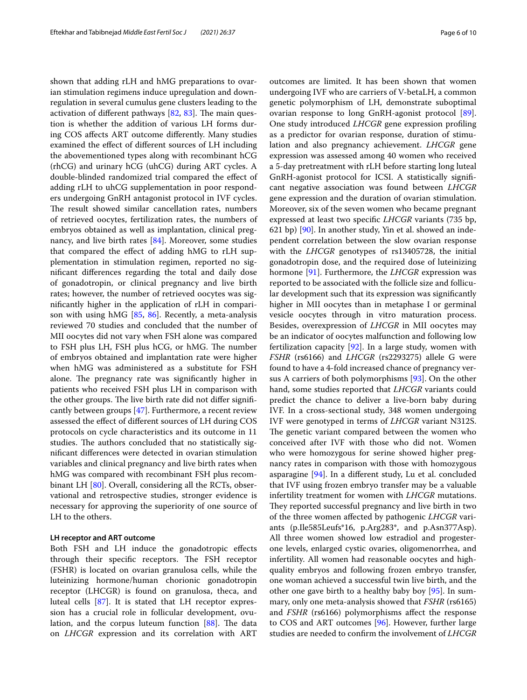shown that adding rLH and hMG preparations to ovarian stimulation regimens induce upregulation and downregulation in several cumulus gene clusters leading to the activation of different pathways  $[82, 83]$  $[82, 83]$  $[82, 83]$  $[82, 83]$ . The main question is whether the addition of various LH forms during COS afects ART outcome diferently. Many studies examined the efect of diferent sources of LH including the abovementioned types along with recombinant hCG (rhCG) and urinary hCG (uhCG) during ART cycles. A double-blinded randomized trial compared the efect of adding rLH to uhCG supplementation in poor responders undergoing GnRH antagonist protocol in IVF cycles. The result showed similar cancellation rates, numbers of retrieved oocytes, fertilization rates, the numbers of embryos obtained as well as implantation, clinical pregnancy, and live birth rates [[84\]](#page-9-8). Moreover, some studies that compared the efect of adding hMG to rLH supplementation in stimulation regimen, reported no signifcant diferences regarding the total and daily dose of gonadotropin, or clinical pregnancy and live birth rates; however, the number of retrieved oocytes was signifcantly higher in the application of rLH in comparison with using hMG [\[85](#page-9-9), [86\]](#page-9-10). Recently, a meta-analysis reviewed 70 studies and concluded that the number of MII oocytes did not vary when FSH alone was compared to FSH plus LH, FSH plus hCG, or hMG. The number of embryos obtained and implantation rate were higher when hMG was administered as a substitute for FSH alone. The pregnancy rate was significantly higher in patients who received FSH plus LH in comparison with the other groups. The live birth rate did not differ significantly between groups [[47\]](#page-8-1). Furthermore, a recent review assessed the efect of diferent sources of LH during COS protocols on cycle characteristics and its outcome in 11 studies. The authors concluded that no statistically signifcant diferences were detected in ovarian stimulation variables and clinical pregnancy and live birth rates when hMG was compared with recombinant FSH plus recombinant LH [[80\]](#page-9-4). Overall, considering all the RCTs, observational and retrospective studies, stronger evidence is necessary for approving the superiority of one source of LH to the others.

#### **LH receptor and ART outcome**

Both FSH and LH induce the gonadotropic efects through their specific receptors. The FSH receptor (FSHR) is located on ovarian granulosa cells, while the luteinizing hormone/human chorionic gonadotropin receptor (LHCGR) is found on granulosa, theca, and luteal cells [[87\]](#page-9-11). It is stated that LH receptor expression has a crucial role in follicular development, ovulation, and the corpus luteum function  $[88]$  $[88]$ . The data on *LHCGR* expression and its correlation with ART

outcomes are limited. It has been shown that women undergoing IVF who are carriers of V-betaLH, a common genetic polymorphism of LH, demonstrate suboptimal ovarian response to long GnRH-agonist protocol [\[89](#page-9-13)]. One study introduced *LHCGR* gene expression profling as a predictor for ovarian response, duration of stimulation and also pregnancy achievement. *LHCGR* gene expression was assessed among 40 women who received a 5-day pretreatment with rLH before starting long luteal GnRH-agonist protocol for ICSI. A statistically signifcant negative association was found between *LHCGR* gene expression and the duration of ovarian stimulation. Moreover, six of the seven women who became pregnant expressed at least two specifc *LHCGR* variants (735 bp, 621 bp) [[90\]](#page-9-14). In another study, Yin et al. showed an independent correlation between the slow ovarian response with the *LHCGR* genotypes of rs13405728, the initial gonadotropin dose, and the required dose of luteinizing hormone [[91\]](#page-9-15). Furthermore, the *LHCGR* expression was reported to be associated with the follicle size and follicular development such that its expression was signifcantly higher in MII oocytes than in metaphase I or germinal vesicle oocytes through in vitro maturation process. Besides, overexpression of *LHCGR* in MII oocytes may be an indicator of oocytes malfunction and following low fertilization capacity  $[92]$  $[92]$ . In a large study, women with *FSHR* (rs6166) and *LHCGR* (rs2293275) allele G were found to have a 4-fold increased chance of pregnancy versus A carriers of both polymorphisms [[93\]](#page-9-17). On the other hand, some studies reported that *LHCGR* variants could predict the chance to deliver a live-born baby during IVF. In a cross-sectional study, 348 women undergoing IVF were genotyped in terms of *LHCGR* variant N312S. The genetic variant compared between the women who conceived after IVF with those who did not. Women who were homozygous for serine showed higher pregnancy rates in comparison with those with homozygous asparagine [[94\]](#page-9-18). In a diferent study, Lu et al. concluded that IVF using frozen embryo transfer may be a valuable infertility treatment for women with *LHCGR* mutations. They reported successful pregnancy and live birth in two of the three women afected by pathogenic *LHCGR* variants (p.Ile585Leufs\*16, p.Arg283\*, and p.Asn377Asp). All three women showed low estradiol and progesterone levels, enlarged cystic ovaries, oligomenorrhea, and infertility. All women had reasonable oocytes and highquality embryos and following frozen embryo transfer, one woman achieved a successful twin live birth, and the other one gave birth to a healthy baby boy [[95](#page-9-19)]. In summary, only one meta-analysis showed that *FSHR* (rs6165) and *FSHR* (rs6166) polymorphisms afect the response to COS and ART outcomes [\[96](#page-9-20)]. However, further large studies are needed to confrm the involvement of *LHCGR*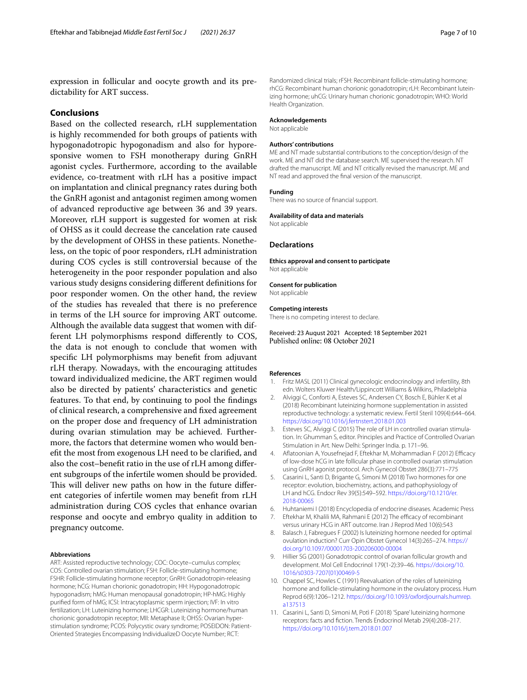expression in follicular and oocyte growth and its predictability for ART success.

#### **Conclusions**

Based on the collected research, rLH supplementation is highly recommended for both groups of patients with hypogonadotropic hypogonadism and also for hyporesponsive women to FSH monotherapy during GnRH agonist cycles. Furthermore, according to the available evidence, co-treatment with rLH has a positive impact on implantation and clinical pregnancy rates during both the GnRH agonist and antagonist regimen among women of advanced reproductive age between 36 and 39 years. Moreover, rLH support is suggested for women at risk of OHSS as it could decrease the cancelation rate caused by the development of OHSS in these patients. Nonetheless, on the topic of poor responders, rLH administration during COS cycles is still controversial because of the heterogeneity in the poor responder population and also various study designs considering diferent defnitions for poor responder women. On the other hand, the review of the studies has revealed that there is no preference in terms of the LH source for improving ART outcome. Although the available data suggest that women with different LH polymorphisms respond diferently to COS, the data is not enough to conclude that women with specifc LH polymorphisms may beneft from adjuvant rLH therapy. Nowadays, with the encouraging attitudes toward individualized medicine, the ART regimen would also be directed by patients' characteristics and genetic features. To that end, by continuing to pool the fndings of clinical research, a comprehensive and fxed agreement on the proper dose and frequency of LH administration during ovarian stimulation may be achieved. Furthermore, the factors that determine women who would beneft the most from exogenous LH need to be clarifed, and also the cost–beneft ratio in the use of rLH among diferent subgroups of the infertile women should be provided. This will deliver new paths on how in the future different categories of infertile women may beneft from rLH administration during COS cycles that enhance ovarian response and oocyte and embryo quality in addition to pregnancy outcome.

#### **Abbreviations**

ART: Assisted reproductive technology; COC: Oocyte–cumulus complex; COS: Controlled ovarian stimulation; FSH: Follicle-stimulating hormone; FSHR: Follicle-stimulating hormone receptor; GnRH: Gonadotropin-releasing hormone; hCG: Human chorionic gonadotropin; HH: Hypogonadotropic hypogonadism; hMG: Human menopausal gonadotropin; HP-hMG: Highly purifed form of hMG; ICSI: Intracytoplasmic sperm injection; IVF: In vitro fertilization; LH: Luteinizing hormone; LHCGR: Luteinizing hormone/human chorionic gonadotropin receptor; MII: Metaphase II; OHSS: Ovarian hyperstimulation syndrome; PCOS: Polycystic ovary syndrome; POSEIDON: Patient-Oriented Strategies Encompassing IndividualizeD Oocyte Number; RCT:

Randomized clinical trials; rFSH: Recombinant follicle-stimulating hormone; rhCG: Recombinant human chorionic gonadotropin; rLH: Recombinant luteinizing hormone; uhCG: Urinary human chorionic gonadotropin; WHO: World Health Organization.

#### **Acknowledgements**

Not applicable

#### **Authors' contributions**

ME and NT made substantial contributions to the conception/design of the work. ME and NT did the database search. ME supervised the research. NT drafted the manuscript. ME and NT critically revised the manuscript. ME and NT read and approved the fnal version of the manuscript.

#### **Funding**

There was no source of fnancial support.

#### **Availability of data and materials**

Not applicable

#### **Declarations**

**Ethics approval and consent to participate** Not applicable

#### **Consent for publication**

Not applicable

#### **Competing interests**

There is no competing interest to declare.

Received: 23 August 2021 Accepted: 18 September 2021 Published online: 08 October 2021

#### **References**

- <span id="page-6-0"></span>1. Fritz MASL (2011) Clinical gynecologic endocrinology and infertility, 8th edn. Wolters Kluwer Health/Lippincott Williams & Wilkins, Philadelphia
- <span id="page-6-1"></span>2. Alviggi C, Conforti A, Esteves SC, Andersen CY, Bosch E, Bühler K et al (2018) Recombinant luteinizing hormone supplementation in assisted reproductive technology: a systematic review. Fertil Steril 109(4):644–664. <https://doi.org/10.1016/j.fertnstert.2018.01.003>
- <span id="page-6-2"></span>3. Esteves SC, Alviggi C (2015) The role of LH in controlled ovarian stimulation. In: Ghumman S, editor. Principles and Practice of Controlled Ovarian Stimulation in Art. New Delhi: Springer India. p. 171–96.
- <span id="page-6-3"></span>4. Afatoonian A, Yousefnejad F, Eftekhar M, Mohammadian F (2012) Efcacy of low-dose hCG in late follicular phase in controlled ovarian stimulation using GnRH agonist protocol. Arch Gynecol Obstet 286(3):771–775
- <span id="page-6-4"></span>5. Casarini L, Santi D, Brigante G, Simoni M (2018) Two hormones for one receptor: evolution, biochemistry, actions, and pathophysiology of LH and hCG. Endocr Rev 39(5):549–592. [https://doi.org/10.1210/er.](https://doi.org/10.1210/er.2018-00065) [2018-00065](https://doi.org/10.1210/er.2018-00065)
- <span id="page-6-5"></span>6. Huhtaniemi I (2018) Encyclopedia of endocrine diseases. Academic Press
- <span id="page-6-6"></span>7. Eftekhar M, Khalili MA, Rahmani E (2012) The efficacy of recombinant versus urinary HCG in ART outcome. Iran J Reprod Med 10(6):543
- <span id="page-6-7"></span>8. Balasch J, Fabregues F (2002) Is luteinizing hormone needed for optimal ovulation induction? Curr Opin Obstet Gynecol 14(3):265–274. [https://](https://doi.org/10.1097/00001703-200206000-00004) [doi.org/10.1097/00001703-200206000-00004](https://doi.org/10.1097/00001703-200206000-00004)
- <span id="page-6-8"></span>9. Hillier SG (2001) Gonadotropic control of ovarian follicular growth and development. Mol Cell Endocrinol 179(1-2):39–46. [https://doi.org/10.](https://doi.org/10.1016/s0303-7207(01)00469-5) [1016/s0303-7207\(01\)00469-5](https://doi.org/10.1016/s0303-7207(01)00469-5)
- <span id="page-6-9"></span>10. Chappel SC, Howles C (1991) Reevaluation of the roles of luteinizing hormone and follicle-stimulating hormone in the ovulatory process. Hum Reprod 6(9):1206–1212. [https://doi.org/10.1093/oxfordjournals.humrep.](https://doi.org/10.1093/oxfordjournals.humrep.a137513) [a137513](https://doi.org/10.1093/oxfordjournals.humrep.a137513)
- <span id="page-6-10"></span>11. Casarini L, Santi D, Simoni M, Potì F (2018) 'Spare' luteinizing hormone receptors: facts and fction. Trends Endocrinol Metab 29(4):208–217. <https://doi.org/10.1016/j.tem.2018.01.007>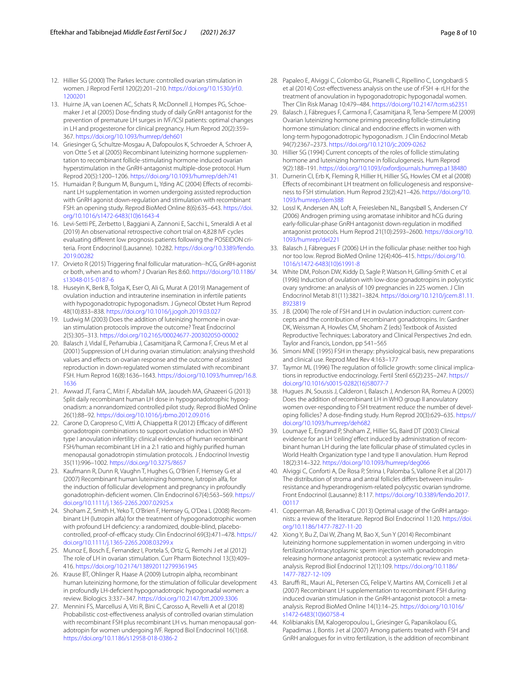- <span id="page-7-0"></span>12. Hillier SG (2000) The Parkes lecture: controlled ovarian stimulation in women. J Reprod Fertil 120(2):201–210. [https://doi.org/10.1530/jrf.0.](https://doi.org/10.1530/jrf.0.1200201) [1200201](https://doi.org/10.1530/jrf.0.1200201)
- <span id="page-7-1"></span>13. Huirne JA, van Loenen AC, Schats R, McDonnell J, Hompes PG, Schoemaker J et al (2005) Dose-fnding study of daily GnRH antagonist for the prevention of premature LH surges in IVF/ICSI patients: optimal changes in LH and progesterone for clinical pregnancy. Hum Reprod 20(2):359– 367. <https://doi.org/10.1093/humrep/deh601>
- <span id="page-7-2"></span>14. Griesinger G, Schultze-Mosgau A, Dafopoulos K, Schroeder A, Schroer A, von Otte S et al (2005) Recombinant luteinizing hormone supplementation to recombinant follicle-stimulating hormone induced ovarian hyperstimulation in the GnRH-antagonist multiple-dose protocol. Hum Reprod 20(5):1200–1206.<https://doi.org/10.1093/humrep/deh741>
- 15. Humaidan P, Bungum M, Bungum L, Yding AC (2004) Effects of recombinant LH supplementation in women undergoing assisted reproduction with GnRH agonist down-regulation and stimulation with recombinant FSH: an opening study. Reprod BioMed Online 8(6):635–643. [https://doi.](https://doi.org/10.1016/s1472-6483(10)61643-4) [org/10.1016/s1472-6483\(10\)61643-4](https://doi.org/10.1016/s1472-6483(10)61643-4)
- <span id="page-7-4"></span>16. Levi-Setti PE, Zerbetto I, Baggiani A, Zannoni E, Sacchi L, Smeraldi A et al (2019) An observational retrospective cohort trial on 4,828 IVF cycles evaluating diferent low prognosis patients following the POSEIDON criteria. Front Endocrinol (Lausanne). 10:282. [https://doi.org/10.3389/fendo.](https://doi.org/10.3389/fendo.2019.00282) [2019.00282](https://doi.org/10.3389/fendo.2019.00282)
- <span id="page-7-3"></span>17. Orvieto R (2015) Triggering fnal follicular maturation--hCG, GnRH-agonist or both, when and to whom? J Ovarian Res 8:60. [https://doi.org/10.1186/](https://doi.org/10.1186/s13048-015-0187-6) [s13048-015-0187-6](https://doi.org/10.1186/s13048-015-0187-6)
- <span id="page-7-5"></span>18. Huseyin K, Berk B, Tolga K, Eser O, Ali G, Murat A (2019) Management of ovulation induction and intrauterine insemination in infertile patients with hypogonadotropic hypogonadism. J Gynecol Obstet Hum Reprod 48(10):833–838.<https://doi.org/10.1016/j.jogoh.2019.03.027>
- <span id="page-7-6"></span>19. Ludwig M (2003) Does the addition of luteinizing hormone in ovarian stimulation protocols improve the outcome? Treat Endocrinol 2(5):305–313. <https://doi.org/10.2165/00024677-200302050-00002>
- <span id="page-7-7"></span>20. Balasch J, Vidal E, Peñarrubia J, Casamitjana R, Carmona F, Creus M et al (2001) Suppression of LH during ovarian stimulation: analysing threshold values and efects on ovarian response and the outcome of assisted reproduction in down-regulated women stimulated with recombinant FSH. Hum Reprod 16(8):1636–1643. [https://doi.org/10.1093/humrep/16.8.](https://doi.org/10.1093/humrep/16.8.1636) [1636](https://doi.org/10.1093/humrep/16.8.1636)
- <span id="page-7-8"></span>21. Awwad JT, Farra C, Mitri F, Abdallah MA, Jaoudeh MA, Ghazeeri G (2013) Split daily recombinant human LH dose in hypogonadotrophic hypogonadism: a nonrandomized controlled pilot study. Reprod BioMed Online 26(1):88–92.<https://doi.org/10.1016/j.rbmo.2012.09.016>
- 22. Carone D, Caropreso C, Vitti A, Chiappetta R (2012) Efficacy of different gonadotropin combinations to support ovulation induction in WHO type I anovulation infertility: clinical evidences of human recombinant FSH/human recombinant LH in a 2:1 ratio and highly purifed human menopausal gonadotropin stimulation protocols. J Endocrinol Investig 35(11):996–1002. <https://doi.org/10.3275/8657>
- 23. Kaufmann R, Dunn R, Vaughn T, Hughes G, O'Brien F, Hemsey G et al (2007) Recombinant human luteinizing hormone, lutropin alfa, for the induction of follicular development and pregnancy in profoundly gonadotrophin-defcient women. Clin Endocrinol 67(4):563–569. [https://](https://doi.org/10.1111/j.1365-2265.2007.02925.x) [doi.org/10.1111/j.1365-2265.2007.02925.x](https://doi.org/10.1111/j.1365-2265.2007.02925.x)
- <span id="page-7-9"></span>24. Shoham Z, Smith H, Yeko T, O'Brien F, Hemsey G, O'Dea L (2008) Recombinant LH (lutropin alfa) for the treatment of hypogonadotrophic women with profound LH defciency: a randomized, double-blind, placebocontrolled, proof-of-efficacy study. Clin Endocrinol 69(3):471-478. [https://](https://doi.org/10.1111/j.1365-2265.2008.03299.x) [doi.org/10.1111/j.1365-2265.2008.03299.x](https://doi.org/10.1111/j.1365-2265.2008.03299.x)
- <span id="page-7-10"></span>25. Munoz E, Bosch E, Fernandez I, Portela S, Ortiz G, Remohi J et al (2012) The role of LH in ovarian stimulation. Curr Pharm Biotechnol 13(3):409– 416. <https://doi.org/10.2174/138920112799361945>
- <span id="page-7-11"></span>26. Krause BT, Ohlinger R, Haase A (2009) Lutropin alpha, recombinant human luteinizing hormone, for the stimulation of follicular development in profoundly LH-defcient hypogonadotropic hypogonadal women: a review. Biologics 3:337–347.<https://doi.org/10.2147/btt.2009.3306>
- <span id="page-7-12"></span>27. Mennini FS, Marcellusi A, Viti R, Bini C, Carosso A, Revelli A et al (2018) Probabilistic cost-efectiveness analysis of controlled ovarian stimulation with recombinant FSH plus recombinant LH vs. human menopausal gonadotropin for women undergoing IVF. Reprod Biol Endocrinol 16(1):68. <https://doi.org/10.1186/s12958-018-0386-2>
- <span id="page-7-13"></span>28. Papaleo E, Alviggi C, Colombo GL, Pisanelli C, Ripellino C, Longobardi S et al (2014) Cost-efectiveness analysis on the use of rFSH + rLH for the treatment of anovulation in hypogonadotropic hypogonadal women. Ther Clin Risk Manag 10:479–484. <https://doi.org/10.2147/tcrm.s62351>
- <span id="page-7-14"></span>29. Balasch J, Fábregues F, Carmona F, Casamitjana R, Tena-Sempere M (2009) Ovarian luteinizing hormone priming preceding follicle-stimulating hormone stimulation: clinical and endocrine effects in women with long-term hypogonadotropic hypogonadism. J Clin Endocrinol Metab 94(7):2367–2373. <https://doi.org/10.1210/jc.2009-0262>
- <span id="page-7-15"></span>30. Hillier SG (1994) Current concepts of the roles of follicle stimulating hormone and luteinizing hormone in folliculogenesis. Hum Reprod 9(2):188–191. <https://doi.org/10.1093/oxfordjournals.humrep.a138480>
- <span id="page-7-16"></span>31. Durnerin CI, Erb K, Fleming R, Hillier H, Hillier SG, Howles CM et al (2008) Efects of recombinant LH treatment on folliculogenesis and responsiveness to FSH stimulation. Hum Reprod 23(2):421–426. [https://doi.org/10.](https://doi.org/10.1093/humrep/dem388) [1093/humrep/dem388](https://doi.org/10.1093/humrep/dem388)
- <span id="page-7-17"></span>32. Lossl K, Andersen AN, Loft A, Freiesleben NL, Bangsbøll S, Andersen CY (2006) Androgen priming using aromatase inhibitor and hCG during early-follicular-phase GnRH antagonist down-regulation in modifed antagonist protocols. Hum Reprod 21(10):2593–2600. [https://doi.org/10.](https://doi.org/10.1093/humrep/del221) [1093/humrep/del221](https://doi.org/10.1093/humrep/del221)
- <span id="page-7-18"></span>33. Balasch J, Fábregues F (2006) LH in the follicular phase: neither too high nor too low. Reprod BioMed Online 12(4):406–415. [https://doi.org/10.](https://doi.org/10.1016/s1472-6483(10)61991-8) [1016/s1472-6483\(10\)61991-8](https://doi.org/10.1016/s1472-6483(10)61991-8)
- <span id="page-7-19"></span>34. White DM, Polson DW, Kiddy D, Sagle P, Watson H, Gilling-Smith C et al (1996) Induction of ovulation with low-dose gonadotropins in polycystic ovary syndrome: an analysis of 109 pregnancies in 225 women. J Clin Endocrinol Metab 81(11):3821–3824. [https://doi.org/10.1210/jcem.81.11.](https://doi.org/10.1210/jcem.81.11.8923819) [8923819](https://doi.org/10.1210/jcem.81.11.8923819)
- <span id="page-7-20"></span>35. J B. (2004) The role of FSH and LH in ovulation induction: current concepts and the contribution of recombinant gonadotropins. In: Gardner DK, Weissman A, Howles CM, Shoham Z (eds) Textbook of Assisted Reproductive Techniques: Laboratory and Clinical Perspectives 2nd edn. Taylor and Francis, London, pp 541–565
- 36. Simoni MNE (1995) FSH in therapy: physiological basis, new preparations and clinical use. Reprod Med Rev 4:163–177
- <span id="page-7-21"></span>37. Taymor ML (1996) The regulation of follicle growth: some clinical implications in reproductive endocrinology. Fertil Steril 65(2):235–247. [https://](https://doi.org/10.1016/s0015-0282(16)58077-7) [doi.org/10.1016/s0015-0282\(16\)58077-7](https://doi.org/10.1016/s0015-0282(16)58077-7)
- <span id="page-7-22"></span>38. Hugues JN, Soussis J, Calderon I, Balasch J, Anderson RA, Romeu A (2005) Does the addition of recombinant LH in WHO group II anovulatory women over-responding to FSH treatment reduce the number of developing follicles? A dose-fnding study. Hum Reprod 20(3):629–635. [https://](https://doi.org/10.1093/humrep/deh682) [doi.org/10.1093/humrep/deh682](https://doi.org/10.1093/humrep/deh682)
- <span id="page-7-23"></span>39. Loumaye E, Engrand P, Shoham Z, Hillier SG, Baird DT (2003) Clinical evidence for an LH 'ceiling' effect induced by administration of recombinant human LH during the late follicular phase of stimulated cycles in World Health Organization type I and type II anovulation. Hum Reprod 18(2):314–322. <https://doi.org/10.1093/humrep/deg066>
- <span id="page-7-24"></span>40. Alviggi C, Conforti A, De Rosa P, Strina I, Palomba S, Vallone R et al (2017) The distribution of stroma and antral follicles difers between insulinresistance and hyperandrogenism-related polycystic ovarian syndrome. Front Endocrinol (Lausanne) 8:117. [https://doi.org/10.3389/fendo.2017.](https://doi.org/10.3389/fendo.2017.00117) [00117](https://doi.org/10.3389/fendo.2017.00117)
- <span id="page-7-25"></span>41. Copperman AB, Benadiva C (2013) Optimal usage of the GnRH antagonists: a review of the literature. Reprod Biol Endocrinol 11:20. [https://doi.](https://doi.org/10.1186/1477-7827-11-20) [org/10.1186/1477-7827-11-20](https://doi.org/10.1186/1477-7827-11-20)
- <span id="page-7-26"></span>42. Xiong Y, Bu Z, Dai W, Zhang M, Bao X, Sun Y (2014) Recombinant luteinizing hormone supplementation in women undergoing in vitro fertilization/intracytoplasmic sperm injection with gonadotropin releasing hormone antagonist protocol: a systematic review and metaanalysis. Reprod Biol Endocrinol 12(1):109. [https://doi.org/10.1186/](https://doi.org/10.1186/1477-7827-12-109) [1477-7827-12-109](https://doi.org/10.1186/1477-7827-12-109)
- <span id="page-7-27"></span>43. Baruffi RL, Mauri AL, Petersen CG, Felipe V, Martins AM, Cornicelli J et al (2007) Recombinant LH supplementation to recombinant FSH during induced ovarian stimulation in the GnRH-antagonist protocol: a metaanalysis. Reprod BioMed Online 14(1):14–25. [https://doi.org/10.1016/](https://doi.org/10.1016/s1472-6483(10)60758-4) [s1472-6483\(10\)60758-4](https://doi.org/10.1016/s1472-6483(10)60758-4)
- 44. Kolibianakis EM, Kalogeropoulou L, Griesinger G, Papanikolaou EG, Papadimas J, Bontis J et al (2007) Among patients treated with FSH and GnRH analogues for in vitro fertilization, is the addition of recombinant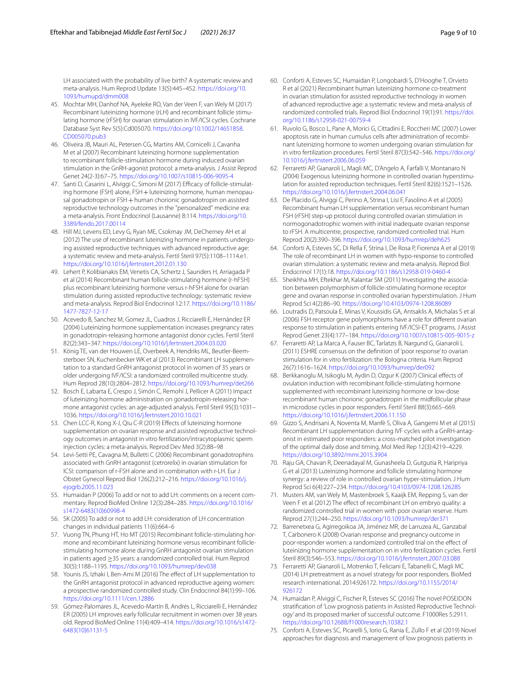LH associated with the probability of live birth? A systematic review and meta-analysis. Hum Reprod Update 13(5):445–452. [https://doi.org/10.](https://doi.org/10.1093/humupd/dmm008) [1093/humupd/dmm008](https://doi.org/10.1093/humupd/dmm008)

- 45. Mochtar MH, Danhof NA, Ayeleke RO, Van der Veen F, van Wely M (2017) Recombinant luteinizing hormone (rLH) and recombinant follicle stimulating hormone (rFSH) for ovarian stimulation in IVF/ICSI cycles. Cochrane Database Syst Rev 5(5):Cd005070. [https://doi.org/10.1002/14651858.](https://doi.org/10.1002/14651858.CD005070.pub3) [CD005070.pub3](https://doi.org/10.1002/14651858.CD005070.pub3)
- <span id="page-8-0"></span>46. Oliveira JB, Mauri AL, Petersen CG, Martins AM, Cornicelli J, Cavanha M et al (2007) Recombinant luteinizing hormone supplementation to recombinant follicle-stimulation hormone during induced ovarian stimulation in the GnRH-agonist protocol: a meta-analysis. J Assist Reprod Genet 24(2-3):67–75.<https://doi.org/10.1007/s10815-006-9095-4>
- <span id="page-8-1"></span>47. Santi D, Casarini L, Alviggi C, Simoni M (2017) Efficacy of follicle-stimulating hormone (FSH) alone, FSH+luteinizing hormone, human menopausal gonadotropin or FSH + human chorionic gonadotropin on assisted reproductive technology outcomes in the "personalized" medicine era: a meta-analysis. Front Endocrinol (Lausanne) 8:114. [https://doi.org/10.](https://doi.org/10.3389/fendo.2017.00114) [3389/fendo.2017.00114](https://doi.org/10.3389/fendo.2017.00114)
- <span id="page-8-2"></span>48. Hill MJ, Levens ED, Levy G, Ryan ME, Csokmay JM, DeCherney AH et al (2012) The use of recombinant luteinizing hormone in patients undergoing assisted reproductive techniques with advanced reproductive age: a systematic review and meta-analysis. Fertil Steril 97(5):1108–1114.e1. <https://doi.org/10.1016/j.fertnstert.2012.01.130>
- <span id="page-8-3"></span>49. Lehert P, Kolibianakis EM, Venetis CA, Schertz J, Saunders H, Arriagada P et al (2014) Recombinant human follicle-stimulating hormone (r-hFSH) plus recombinant luteinizing hormone versus r-hFSH alone for ovarian stimulation during assisted reproductive technology: systematic review and meta-analysis. Reprod Biol Endocrinol 12:17. [https://doi.org/10.1186/](https://doi.org/10.1186/1477-7827-12-17) [1477-7827-12-17](https://doi.org/10.1186/1477-7827-12-17)
- <span id="page-8-4"></span>50. Acevedo B, Sanchez M, Gomez JL, Cuadros J, Ricciarelli E, Hernández ER (2004) Luteinizing hormone supplementation increases pregnancy rates in gonadotropin-releasing hormone antagonist donor cycles. Fertil Steril 82(2):343–347. <https://doi.org/10.1016/j.fertnstert.2004.03.020>
- <span id="page-8-5"></span>51. König TE, van der Houwen LE, Overbeek A, Hendriks ML, Beutler-Beemsterboer SN, Kuchenbecker WK et al (2013) Recombinant LH supplementation to a standard GnRH antagonist protocol in women of 35 years or older undergoing IVF/ICSI: a randomized controlled multicentre study. Hum Reprod 28(10):2804–2812. <https://doi.org/10.1093/humrep/det266>
- <span id="page-8-6"></span>52. Bosch E, Labarta E, Crespo J, Simón C, Remohí J, Pellicer A (2011) Impact of luteinizing hormone administration on gonadotropin-releasing hormone antagonist cycles: an age-adjusted analysis. Fertil Steril 95(3):1031– 1036.<https://doi.org/10.1016/j.fertnstert.2010.10.021>
- <span id="page-8-7"></span>53. Chen LCC-R, Kong X-J, Qiu C-R (2019) Efects of luteinizing hormone supplementation on ovarian response and assisted reproductive technology outcomes in antagonist in vitro fertilization/intracytoplasmic sperm injection cycles: a meta-analysis. Reprod Dev Med 3(2):88–98
- <span id="page-8-8"></span>54. Levi-Setti PE, Cavagna M, Bulletti C (2006) Recombinant gonadotrophins associated with GnRH antagonist (cetrorelix) in ovarian stimulation for ICSI: comparison of r-FSH alone and in combination with r-LH. Eur J Obstet Gynecol Reprod Biol 126(2):212–216. [https://doi.org/10.1016/j.](https://doi.org/10.1016/j.ejogrb.2005.11.023) [ejogrb.2005.11.023](https://doi.org/10.1016/j.ejogrb.2005.11.023)
- <span id="page-8-9"></span>55. Humaidan P (2006) To add or not to add LH: comments on a recent commentary. Reprod BioMed Online 12(3):284–285. [https://doi.org/10.1016/](https://doi.org/10.1016/s1472-6483(10)60998-4) [s1472-6483\(10\)60998-4](https://doi.org/10.1016/s1472-6483(10)60998-4)
- <span id="page-8-10"></span>56. SK (2005) To add or not to add LH: consideration of LH concentration changes in individual patients 11(6):664–6
- <span id="page-8-11"></span>57. Vuong TN, Phung HT, Ho MT (2015) Recombinant follicle-stimulating hormone and recombinant luteinizing hormone versus recombinant folliclestimulating hormone alone during GnRH antagonist ovarian stimulation in patients aged ≥35 years: a randomized controlled trial. Hum Reprod 30(5):1188–1195. <https://doi.org/10.1093/humrep/dev038>
- <span id="page-8-12"></span>58. Younis JS, Izhaki I, Ben-Ami M (2016) The efect of LH supplementation to the GnRH antagonist protocol in advanced reproductive ageing women: a prospective randomized controlled study. Clin Endocrinol 84(1):99–106. <https://doi.org/10.1111/cen.12886>
- <span id="page-8-13"></span>59. Gómez-Palomares JL, Acevedo-Martín B, Andrés L, Ricciarelli E, Hernández ER (2005) LH improves early follicular recruitment in women over 38 years old. Reprod BioMed Online 11(4):409–414. [https://doi.org/10.1016/s1472-](https://doi.org/10.1016/s1472-6483(10)61131-5) [6483\(10\)61131-5](https://doi.org/10.1016/s1472-6483(10)61131-5)
- <span id="page-8-14"></span>60. Conforti A, Esteves SC, Humaidan P, Longobardi S, D'Hooghe T, Orvieto R et al (2021) Recombinant human luteinizing hormone co-treatment in ovarian stimulation for assisted reproductive technology in women of advanced reproductive age: a systematic review and meta-analysis of randomized controlled trials. Reprod Biol Endocrinol 19(1):91. [https://doi.](https://doi.org/10.1186/s12958-021-00759-4) [org/10.1186/s12958-021-00759-4](https://doi.org/10.1186/s12958-021-00759-4)
- <span id="page-8-15"></span>61. Ruvolo G, Bosco L, Pane A, Morici G, Cittadini E, Roccheri MC (2007) Lower apoptosis rate in human cumulus cells after administration of recombinant luteinizing hormone to women undergoing ovarian stimulation for in vitro fertilization procedures. Fertil Steril 87(3):542–546. [https://doi.org/](https://doi.org/10.1016/j.fertnstert.2006.06.059) [10.1016/j.fertnstert.2006.06.059](https://doi.org/10.1016/j.fertnstert.2006.06.059)
- <span id="page-8-16"></span>62. Ferraretti AP, Gianaroli L, Magli MC, D'Angelo A, Farfalli V, Montanaro N (2004) Exogenous luteinizing hormone in controlled ovarian hyperstimulation for assisted reproduction techniques. Fertil Steril 82(6):1521–1526. <https://doi.org/10.1016/j.fertnstert.2004.06.041>
- <span id="page-8-17"></span>63. De Placido G, Alviggi C, Perino A, Strina I, Lisi F, Fasolino A et al (2005) Recombinant human LH supplementation versus recombinant human FSH (rFSH) step-up protocol during controlled ovarian stimulation in normogonadotrophic women with initial inadequate ovarian response to rFSH. A multicentre, prospective, randomized controlled trial. Hum Reprod 20(2):390–396.<https://doi.org/10.1093/humrep/deh625>
- <span id="page-8-18"></span>64. Conforti A, Esteves SC, Di Rella F, Strina I, De Rosa P, Fiorenza A et al (2019) The role of recombinant LH in women with hypo-response to controlled ovarian stimulation: a systematic review and meta-analysis. Reprod Biol Endocrinol 17(1):18.<https://doi.org/10.1186/s12958-019-0460-4>
- <span id="page-8-19"></span>65. Sheikhha MH, Eftekhar M, Kalantar SM (2011) Investigating the association between polymorphism of follicle-stimulating hormone receptor gene and ovarian response in controlled ovarian hyperstimulation. J Hum Reprod Sci 4(2):86–90.<https://doi.org/10.4103/0974-1208.86089>
- <span id="page-8-20"></span>66. Loutradis D, Patsoula E, Minas V, Koussidis GA, Antsaklis A, Michalas S et al (2006) FSH receptor gene polymorphisms have a role for diferent ovarian response to stimulation in patients entering IVF/ICSI-ET programs. J Assist Reprod Genet 23(4):177–184.<https://doi.org/10.1007/s10815-005-9015-z>
- <span id="page-8-21"></span>67. Ferraretti AP, La Marca A, Fauser BC, Tarlatzis B, Nargund G, Gianaroli L (2011) ESHRE consensus on the defnition of 'poor response' to ovarian stimulation for in vitro fertilization: the Bologna criteria. Hum Reprod 26(7):1616–1624. <https://doi.org/10.1093/humrep/der092>
- <span id="page-8-22"></span>68. Berkkanoglu M, Isikoglu M, Aydin D, Ozgur K (2007) Clinical efects of ovulation induction with recombinant follicle-stimulating hormone supplemented with recombinant luteinizing hormone or low-dose recombinant human chorionic gonadotropin in the midfollicular phase in microdose cycles in poor responders. Fertil Steril 88(3):665–669. <https://doi.org/10.1016/j.fertnstert.2006.11.150>
- <span id="page-8-23"></span>69. Gizzo S, Andrisani A, Noventa M, Manfè S, Oliva A, Gangemi M et al (2015) Recombinant LH supplementation during IVF cycles with a GnRH-antagonist in estimated poor responders: a cross-matched pilot investigation of the optimal daily dose and timing. Mol Med Rep 12(3):4219–4229. <https://doi.org/10.3892/mmr.2015.3904>
- <span id="page-8-24"></span>70. Raju GA, Chavan R, Deenadayal M, Gunasheela D, Gutgutia R, Haripriya G et al (2013) Luteinizing hormone and follicle stimulating hormone synergy: a review of role in controlled ovarian hyper-stimulation. J Hum Reprod Sci 6(4):227–234.<https://doi.org/10.4103/0974-1208.126285>
- <span id="page-8-25"></span>71. Musters AM, van Wely M, Mastenbroek S, Kaaijk EM, Repping S, van der Veen F et al (2012) The effect of recombinant LH on embryo quality: a randomized controlled trial in women with poor ovarian reserve. Hum Reprod 27(1):244–250.<https://doi.org/10.1093/humrep/der371>
- <span id="page-8-26"></span>72. Barrenetxea G, Agirregoikoa JA, Jiménez MR, de Larruzea AL, Ganzabal T, Carbonero K (2008) Ovarian response and pregnancy outcome in poor-responder women: a randomized controlled trial on the efect of luteinizing hormone supplementation on in vitro fertilization cycles. Fertil Steril 89(3):546–553.<https://doi.org/10.1016/j.fertnstert.2007.03.088>
- <span id="page-8-27"></span>73. Ferraretti AP, Gianaroli L, Motrenko T, Feliciani E, Tabanelli C, Magli MC (2014) LH pretreatment as a novel strategy for poor responders. BioMed research international. 2014:926172. [https://doi.org/10.1155/2014/](https://doi.org/10.1155/2014/926172) [926172](https://doi.org/10.1155/2014/926172)
- <span id="page-8-28"></span>74. Humaidan P, Alviggi C, Fischer R, Esteves SC (2016) The novel POSEIDON stratifcation of 'Low prognosis patients in Assisted Reproductive Technology' and its proposed marker of successful outcome. F1000Res 5:2911. <https://doi.org/10.12688/f1000research.10382.1>
- <span id="page-8-29"></span>75. Conforti A, Esteves SC, Picarelli S, Iorio G, Rania E, Zullo F et al (2019) Novel approaches for diagnosis and management of low prognosis patients in